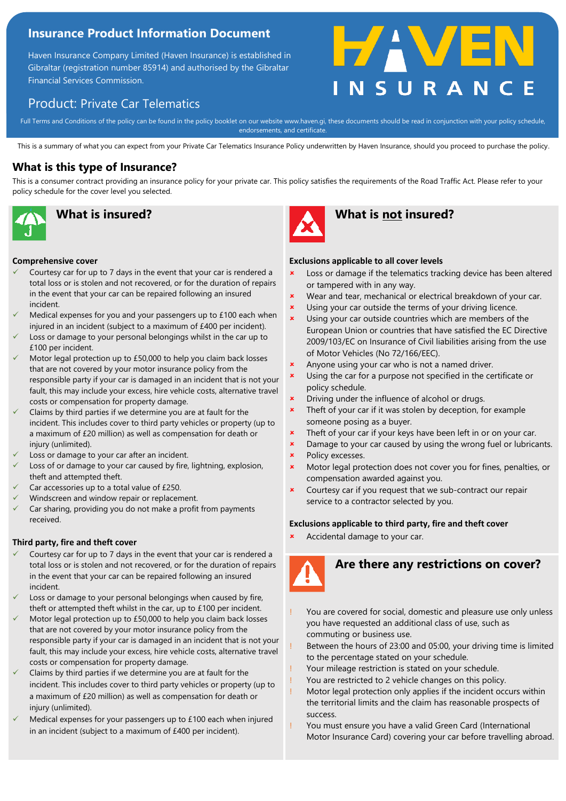### **Insurance Product Information Document**

Haven Insurance Company Limited (Haven Insurance) is established in Gibraltar (registration number 85914) and authorised by the Gibraltar Financial Services Commission.

## Product: Private Car Telematics

Full Terms and Conditions of the policy can be found in the policy booklet on our website www.haven.gi, these documents should be read in conjunction with your policy schedule,<br>endorsements, and certificate endorsements, and certificate.

This is a summary of what you can expect from your Private Car Telematics Insurance Policy underwritten by Haven Insurance, should you proceed to purchase the policy.

### **What is this type of Insurance?**

This is a consumer contract providing an insurance policy for your private car. This policy satisfies the requirements of the Road Traffic Act. Please refer to your policy schedule for the cover level you selected.



#### **Comprehensive cover**

- Courtesy car for up to 7 days in the event that your car is rendered a total loss or is stolen and not recovered, or for the duration of repairs in the event that your car can be repaired following an insured incident.
- Medical expenses for you and your passengers up to £100 each when injured in an incident (subject to a maximum of £400 per incident).
- Loss or damage to your personal belongings whilst in the car up to £100 per incident.
- Motor legal protection up to £50,000 to help you claim back losses that are not covered by your motor insurance policy from the responsible party if your car is damaged in an incident that is not your fault, this may include your excess, hire vehicle costs, alternative travel costs or compensation for property damage.
- Claims by third parties if we determine you are at fault for the incident. This includes cover to third party vehicles or property (up to a maximum of £20 million) as well as compensation for death or injury (unlimited).
- Loss or damage to your car after an incident.
- Loss of or damage to your car caused by fire, lightning, explosion, theft and attempted theft.
- Car accessories up to a total value of £250.
- Windscreen and window repair or replacement.
- Car sharing, providing you do not make a profit from payments received.

#### **Third party, fire and theft cover**

- Courtesy car for up to 7 days in the event that your car is rendered a total loss or is stolen and not recovered, or for the duration of repairs in the event that your car can be repaired following an insured incident.
- Loss or damage to your personal belongings when caused by fire, theft or attempted theft whilst in the car, up to £100 per incident.
- Motor legal protection up to £50,000 to help you claim back losses that are not covered by your motor insurance policy from the responsible party if your car is damaged in an incident that is not your fault, this may include your excess, hire vehicle costs, alternative travel costs or compensation for property damage.
- Claims by third parties if we determine you are at fault for the incident. This includes cover to third party vehicles or property (up to a maximum of £20 million) as well as compensation for death or injury (unlimited).
- Medical expenses for your passengers up to  $£100$  each when injured in an incident (subject to a maximum of £400 per incident).



### **What is insured? What is not insured?**

#### **Exclusions applicable to all cover levels**

- **\*** Loss or damage if the telematics tracking device has been altered or tampered with in any way.
- **\*** Wear and tear, mechanical or electrical breakdown of your car.
- **x** Using your car outside the terms of your driving licence.
- **x** Using your car outside countries which are members of the European Union or countries that have satisfied the EC Directive 2009/103/EC on Insurance of Civil liabilities arising from the use of Motor Vehicles (No 72/166/EEC).
- **\*** Anyone using your car who is not a named driver.
- **x** Using the car for a purpose not specified in the certificate or policy schedule.
- **\*** Driving under the influence of alcohol or drugs.
- $\frac{1}{2}$  Theft of your car if it was stolen by deception, for example someone posing as a buyer.
- **\*** Theft of your car if your keys have been left in or on your car.
- **x** Damage to your car caused by using the wrong fuel or lubricants.
- **\*** Policy excesses.
- Motor legal protection does not cover you for fines, penalties, or compensation awarded against you.
- **x** Courtesy car if you request that we sub-contract our repair service to a contractor selected by you.

#### **Exclusions applicable to third party, fire and theft cover**

Accidental damage to your car.



# **Are there any restrictions on cover?**

- You are covered for social, domestic and pleasure use only unless you have requested an additional class of use, such as commuting or business use.
- Between the hours of 23:00 and 05:00, your driving time is limited to the percentage stated on your schedule.
- Your mileage restriction is stated on your schedule.
- You are restricted to 2 vehicle changes on this policy.
- Motor legal protection only applies if the incident occurs within the territorial limits and the claim has reasonable prospects of success.
- You must ensure you have a valid Green Card (International Motor Insurance Card) covering your car before travelling abroad.

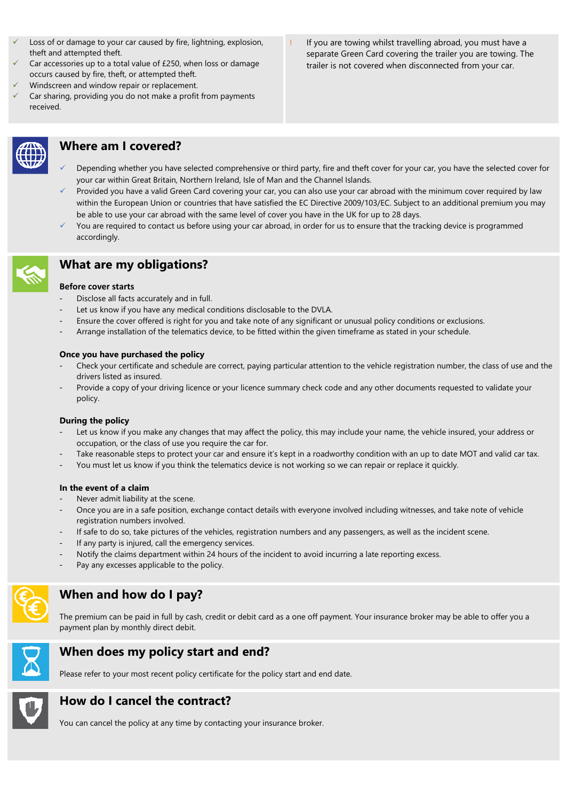- Loss of or damage to your car caused by fire, lightning, explosion, theft and attempted theft.
- Car accessories up to a total value of £250, when loss or damage occurs caused by fire, theft, or attempted theft.
- Windscreen and window repair or replacement.
- Car sharing, providing you do not make a profit from payments received.
- 

### **Where am I covered?**

- Depending whether you have selected comprehensive or third party, fire and theft cover for your car, you have the selected cover for your car within Great Britain, Northern Ireland, Isle of Man and the Channel Islands.
- Provided you have a valid Green Card covering your car, you can also use your car abroad with the minimum cover required by law within the European Union or countries that have satisfied the EC Directive 2009/103/EC. Subject to an additional premium you may be able to use your car abroad with the same level of cover you have in the UK for up to 28 days.
- You are required to contact us before using your car abroad, in order for us to ensure that the tracking device is programmed accordingly.



# **What are my obligations?**

### **Before cover starts**

- Disclose all facts accurately and in full.
- Let us know if you have any medical conditions disclosable to the DVLA.
- Ensure the cover offered is right for you and take note of any significant or unusual policy conditions or exclusions.
- Arrange installation of the telematics device, to be fitted within the given timeframe as stated in your schedule.

### **Once you have purchased the policy**

- Check your certificate and schedule are correct, paying particular attention to the vehicle registration number, the class of use and the drivers listed as insured.
- Provide a copy of your driving licence or your licence summary check code and any other documents requested to validate your policy.

#### **During the policy**

- Let us know if you make any changes that may affect the policy, this may include your name, the vehicle insured, your address or occupation, or the class of use you require the car for.
- Take reasonable steps to protect your car and ensure it's kept in a roadworthy condition with an up to date MOT and valid car tax.
- You must let us know if you think the telematics device is not working so we can repair or replace it quickly.

#### **In the event of a claim**

- Never admit liability at the scene.
- Once you are in a safe position, exchange contact details with everyone involved including witnesses, and take note of vehicle registration numbers involved.
- If safe to do so, take pictures of the vehicles, registration numbers and any passengers, as well as the incident scene.
- If any party is injured, call the emergency services.
- Notify the claims department within 24 hours of the incident to avoid incurring a late reporting excess.
- Pay any excesses applicable to the policy.



## **When and how do I pay?**

The premium can be paid in full by cash, credit or debit card as a one off payment. Your insurance broker may be able to offer you a payment plan by monthly direct debit.



### **When does my policy start and end?**

Please refer to your most recent policy certificate for the policy start and end date.



## **How do I cancel the contract?**

You can cancel the policy at any time by contacting your insurance broker.

If you are towing whilst travelling abroad, you must have a separate Green Card covering the trailer you are towing. The trailer is not covered when disconnected from your car.